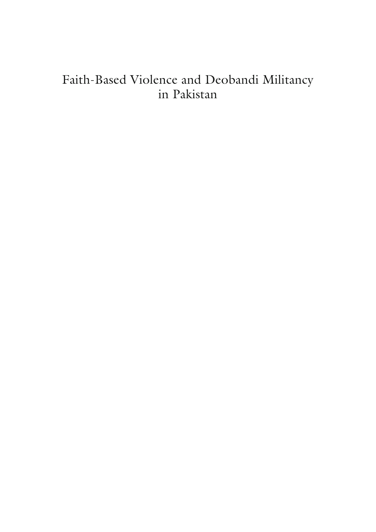## Faith-Based Violence and Deobandi Militancy in Pakistan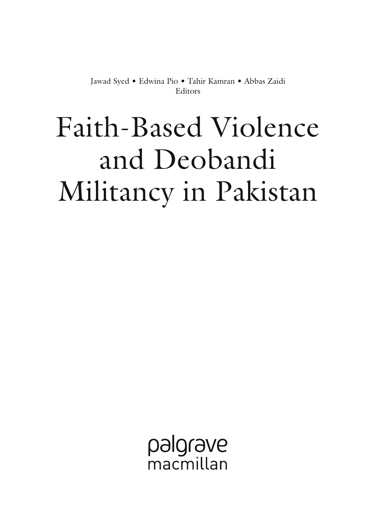Jawad Syed• Edwina Pio• Tahir Kamran• Abbas Zaidi Editors

# Faith-Based Violence and Deobandi Militancy in Pakistan

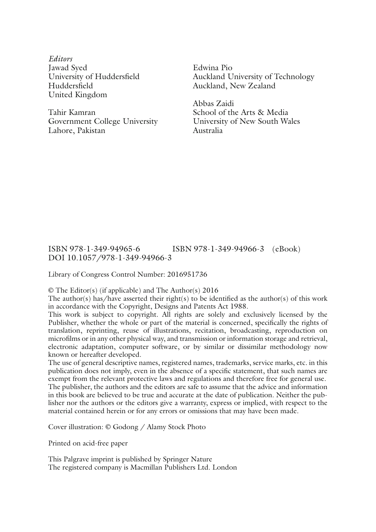*Editors*  Jawad Syed University of Huddersfield Huddersfield United Kingdom

Tahir Kamran Government College University Lahore, Pakistan

Edwina Pio Auckland University of Technology Auckland, New Zealand

Abbas Zaidi School of the Arts & Media University of New South Wales Australia

#### ISBN 978-1-349-94965-6 ISBN 978-1-349-94966-3 (eBook) DOI 10.1057/978-1-349-94966-3

Library of Congress Control Number: 2016951736

© The Editor(s) (if applicable) and The Author(s) 2016

The author(s) has/have asserted their right(s) to be identified as the author(s) of this work in accordance with the Copyright, Designs and Patents Act 1988.

This work is subject to copyright. All rights are solely and exclusively licensed by the Publisher, whether the whole or part of the material is concerned, specifically the rights of translation, reprinting, reuse of illustrations, recitation, broadcasting, reproduction on microfilms or in any other physical way, and transmission or information storage and retrieval, electronic adaptation, computer software, or by similar or dissimilar methodology now known or hereafter developed.

The use of general descriptive names, registered names, trademarks, service marks, etc. in this publication does not imply, even in the absence of a specific statement, that such names are exempt from the relevant protective laws and regulations and therefore free for general use. The publisher, the authors and the editors are safe to assume that the advice and information in this book are believed to be true and accurate at the date of publication. Neither the publisher nor the authors or the editors give a warranty, express or implied, with respect to the material contained herein or for any errors or omissions that may have been made.

Cover illustration: © Godong / Alamy Stock Photo

Printed on acid-free paper

This Palgrave imprint is published by Springer Nature The registered company is Macmillan Publishers Ltd. London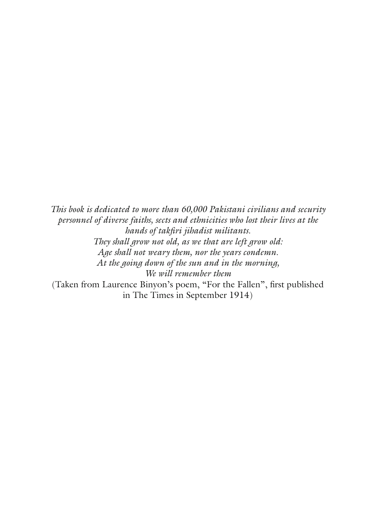*This book is dedicated to more than 60,000 Pakistani civilians and security personnel of diverse faiths, sects and ethnicities who lost their lives at the hands of takfiri jihadist militants. They shall grow not old, as we that are left grow old: Age shall not weary them, nor the years condemn. At the going down of the sun and in the morning, We will remember them*  (Taken from Laurence Binyon's poem, "For the Fallen", first published in The Times in September 1914)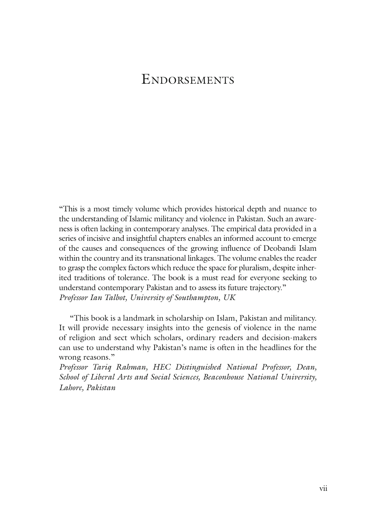#### **ENDORSEMENTS**

"This is a most timely volume which provides historical depth and nuance to the understanding of Islamic militancy and violence in Pakistan. Such an awareness is often lacking in contemporary analyses. The empirical data provided in a series of incisive and insightful chapters enables an informed account to emerge of the causes and consequences of the growing influence of Deobandi Islam within the country and its transnational linkages. The volume enables the reader to grasp the complex factors which reduce the space for pluralism, despite inherited traditions of tolerance. The book is a must read for everyone seeking to understand contemporary Pakistan and to assess its future trajectory." *Professor Ian Talbot, University of Southampton, UK*

"This book is a landmark in scholarship on Islam, Pakistan and militancy. It will provide necessary insights into the genesis of violence in the name of religion and sect which scholars, ordinary readers and decision-makers can use to understand why Pakistan's name is often in the headlines for the wrong reasons."

*Professor Tariq Rahman, HEC Distinguished National Professor, Dean, School of Liberal Arts and Social Sciences, Beaconhouse National University, Lahore, Pakistan*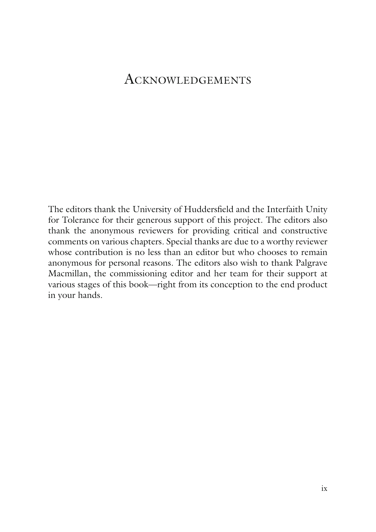#### ACKNOWLEDGEMENTS

The editors thank the University of Huddersfield and the Interfaith Unity for Tolerance for their generous support of this project. The editors also thank the anonymous reviewers for providing critical and constructive comments on various chapters. Special thanks are due to a worthy reviewer whose contribution is no less than an editor but who chooses to remain anonymous for personal reasons. The editors also wish to thank Palgrave Macmillan, the commissioning editor and her team for their support at various stages of this book—right from its conception to the end product in your hands.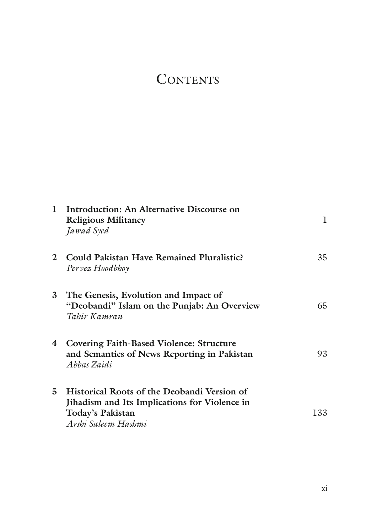## **CONTENTS**

| 1                       | Introduction: An Alternative Discourse on<br><b>Religious Militancy</b><br>Jawad Syed                                                   | 1   |
|-------------------------|-----------------------------------------------------------------------------------------------------------------------------------------|-----|
| $\mathfrak{D}$          | Could Pakistan Have Remained Pluralistic?<br>Pervez Hoodbhoy                                                                            | 35  |
| 3                       | The Genesis, Evolution and Impact of<br>"Deobandi" Islam on the Punjab: An Overview<br>Tahir Kamran                                     | 65  |
| $\overline{\mathbf{4}}$ | <b>Covering Faith-Based Violence: Structure</b><br>and Semantics of News Reporting in Pakistan<br>Abhas Zaidi                           | 93  |
| 5                       | Historical Roots of the Deobandi Version of<br>Jihadism and Its Implications for Violence in<br>Today's Pakistan<br>Arshi Saleem Hashmi | 133 |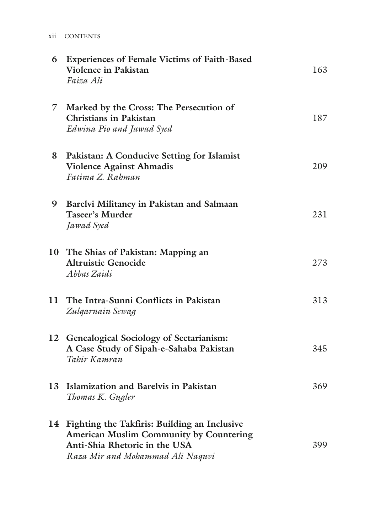| 6  | <b>Experiences of Female Victims of Faith-Based</b><br><b>Violence in Pakistan</b><br>Faiza Ali                                                                 | 163 |
|----|-----------------------------------------------------------------------------------------------------------------------------------------------------------------|-----|
| 7. | Marked by the Cross: The Persecution of<br><b>Christians in Pakistan</b><br>Edwina Pio and Jawad Syed                                                           | 187 |
| 8  | Pakistan: A Conducive Setting for Islamist<br>Violence Against Ahmadis<br>Fatima Z. Rahman                                                                      | 209 |
| 9  | Barelvi Militancy in Pakistan and Salmaan<br><b>Taseer's Murder</b><br>Jawad Syed                                                                               | 231 |
|    | 10 The Shias of Pakistan: Mapping an<br><b>Altruistic Genocide</b><br>Abbas Zaidi                                                                               | 273 |
|    | 11 The Intra-Sunni Conflicts in Pakistan<br>Zulgarnain Sewag                                                                                                    | 313 |
|    | 12 Genealogical Sociology of Sectarianism:<br>A Case Study of Sipah-e-Sahaba Pakistan<br>Tahir Kamran                                                           | 345 |
| 13 | Islamization and Barelvis in Pakistan<br>Thomas K. Gugler                                                                                                       | 369 |
|    | 14 Fighting the Takfiris: Building an Inclusive<br>American Muslim Community by Countering<br>Anti-Shia Rhetoric in the USA<br>Raza Mir and Mohammad Ali Naquvi | 399 |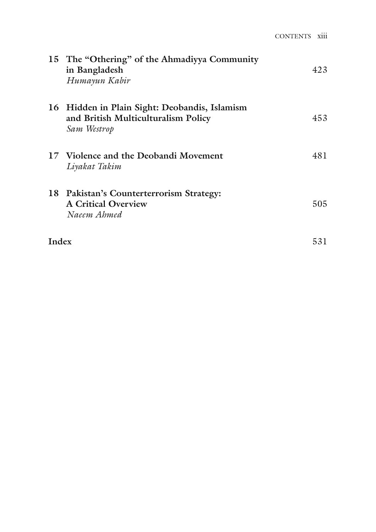|       | 15 The "Othering" of the Ahmadiyya Community<br>in Bangladesh<br>Humayun Kabir                   | 423  |
|-------|--------------------------------------------------------------------------------------------------|------|
| 16    | Hidden in Plain Sight: Deobandis, Islamism<br>and British Multiculturalism Policy<br>Sam Westrop | 453  |
|       | 17 Violence and the Deobandi Movement<br>Liyakat Takim                                           | 481  |
|       | 18 Pakistan's Counterterrorism Strategy:<br><b>A Critical Overview</b><br>Naeem Ahmed            | 505. |
| Index |                                                                                                  | 531  |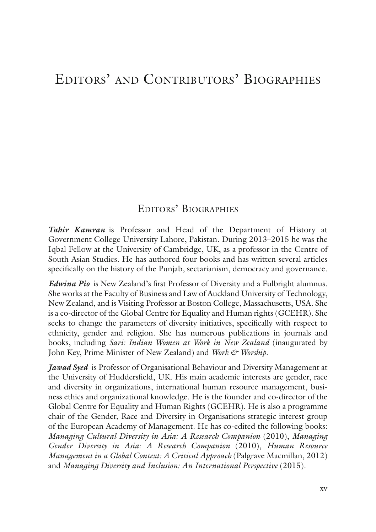### EDITORS' AND CONTRIBUTORS' BIOGRAPHIES

#### EDITORS' BIOGRAPHIES

*Tahir Kamran* is Professor and Head of the Department of History at Government College University Lahore, Pakistan. During 2013–2015 he was the Iqbal Fellow at the University of Cambridge, UK, as a professor in the Centre of South Asian Studies. He has authored four books and has written several articles specifically on the history of the Punjab, sectarianism, democracy and governance.

*Edwina Pio* is New Zealand's first Professor of Diversity and a Fulbright alumnus. She works at the Faculty of Business and Law of Auckland University of Technology, New Zealand, and is Visiting Professor at Boston College, Massachusetts, USA. She is a co-director of the Global Centre for Equality and Human rights (GCEHR). She seeks to change the parameters of diversity initiatives, specifically with respect to ethnicity, gender and religion. She has numerous publications in journals and books, including *Sari: Indian Women at Work in New Zealand* (inaugurated by John Key, Prime Minister of New Zealand) and *Work & Worship*.

*Jawad Syed* is Professor of Organisational Behaviour and Diversity Management at the University of Huddersfield, UK. His main academic interests are gender, race and diversity in organizations, international human resource management, business ethics and organizational knowledge. He is the founder and co-director of the Global Centre for Equality and Human Rights (GCEHR). He is also a programme chair of the Gender, Race and Diversity in Organisations strategic interest group of the European Academy of Management. He has co-edited the following books: *Managing Cultural Diversity in Asia: A Research Companion* (2010), *Managing Gender Diversity in Asia: A Research Companion* (2010), *Human Resource Management in a Global Context: A Critical Approach* (Palgrave Macmillan, 2012) and *Managing Diversity and Inclusion: An International Perspective* (2015).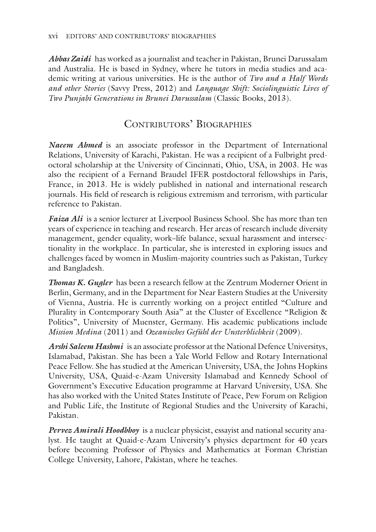*Abbas Zaidi* has worked as a journalist and teacher in Pakistan, Brunei Darussalam and Australia. He is based in Sydney, where he tutors in media studies and academic writing at various universities. He is the author of *Two and a Half Words and other Stories* (Savvy Press, 2012) and *Language Shift: Sociolinguistic Lives of Two Punjabi Generations in Brunei Darussalam* (Classic Books, 2013).

#### CONTRIBUTORS' BIOGRAPHIES

*Naeem Ahmed* is an associate professor in the Department of International Relations, University of Karachi, Pakistan. He was a recipient of a Fulbright predoctoral scholarship at the University of Cincinnati, Ohio, USA, in 2003. He was also the recipient of a Fernand Braudel IFER postdoctoral fellowships in Paris, France, in 2013. He is widely published in national and international research journals. His field of research is religious extremism and terrorism, with particular reference to Pakistan.

*Faiza Ali* is a senior lecturer at Liverpool Business School. She has more than ten years of experience in teaching and research. Her areas of research include diversity management, gender equality, work–life balance, sexual harassment and intersectionality in the workplace. In particular, she is interested in exploring issues and challenges faced by women in Muslim-majority countries such as Pakistan, Turkey and Bangladesh.

*Thomas K. Gugler* has been a research fellow at the Zentrum Moderner Orient in Berlin, Germany, and in the Department for Near Eastern Studies at the University of Vienna, Austria. He is currently working on a project entitled "Culture and Plurality in Contemporary South Asia" at the Cluster of Excellence "Religion & Politics", University of Muenster, Germany. His academic publications include *Mission Medina* (2011) and *Ozeanisches Gefühl der Unsterblichkeit* (2009).

*Arshi Saleem Hashmi* is an associate professor at the National Defence Universitys, Islamabad, Pakistan. She has been a Yale World Fellow and Rotary International Peace Fellow. She has studied at the American University, USA, the Johns Hopkins University, USA, Quaid-e-Azam University Islamabad and Kennedy School of Government's Executive Education programme at Harvard University, USA. She has also worked with the United States Institute of Peace, Pew Forum on Religion and Public Life, the Institute of Regional Studies and the University of Karachi, Pakistan.

*Pervez Amirali Hoodbhoy* is a nuclear physicist, essayist and national security analyst. He taught at Quaid-e-Azam University's physics department for 40 years before becoming Professor of Physics and Mathematics at Forman Christian College University, Lahore, Pakistan, where he teaches.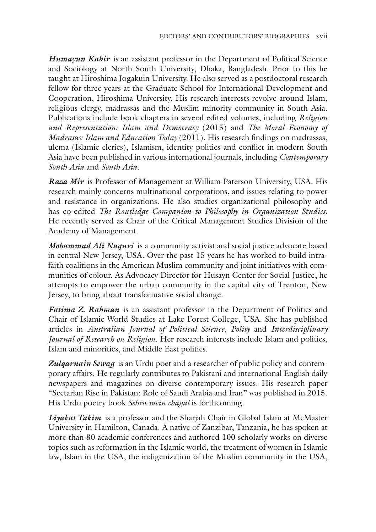*Humayun Kabir* is an assistant professor in the Department of Political Science and Sociology at North South University, Dhaka, Bangladesh. Prior to this he taught at Hiroshima Jogakuin University. He also served as a postdoctoral research fellow for three years at the Graduate School for International Development and Cooperation, Hiroshima University. His research interests revolve around Islam, religious clergy, madrassas and the Muslim minority community in South Asia. Publications include book chapters in several edited volumes, including *Religion and Representation: Islam and Democracy* (2015) and *The Moral Economy of Madrasas: Islam and Education Today* (2011). His research findings on madrassas, ulema (Islamic clerics), Islamism, identity politics and conflict in modern South Asia have been published in various international journals, including *Contemporary South Asia* and *South Asia*.

*Raza Mir* is Professor of Management at William Paterson University, USA. His research mainly concerns multinational corporations, and issues relating to power and resistance in organizations. He also studies organizational philosophy and has co-edited *The Routledge Companion to Philosophy in Organization Studies*. He recently served as Chair of the Critical Management Studies Division of the Academy of Management.

*Mohammad Ali Naquvi* is a community activist and social justice advocate based in central New Jersey, USA. Over the past 15 years he has worked to build intrafaith coalitions in the American Muslim community and joint initiatives with communities of colour. As Advocacy Director for Husayn Center for Social Justice, he attempts to empower the urban community in the capital city of Trenton, New Jersey, to bring about transformative social change.

*Fatima Z. Rahman* is an assistant professor in the Department of Politics and Chair of Islamic World Studies at Lake Forest College, USA. She has published articles in *Australian Journal of Political Science*, *Polity* and *Interdisciplinary Journal of Research on Religion*. Her research interests include Islam and politics, Islam and minorities, and Middle East politics.

*Zulqarnain Sewag* is an Urdu poet and a researcher of public policy and contemporary affairs. He regularly contributes to Pakistani and international English daily newspapers and magazines on diverse contemporary issues. His research paper "Sectarian Rise in Pakistan: Role of Saudi Arabia and Iran" was published in 2015. His Urdu poetry book *Sehra mein chagal* is forthcoming.

*Liyakat Takim* is a professor and the Sharjah Chair in Global Islam at McMaster University in Hamilton, Canada. A native of Zanzibar, Tanzania, he has spoken at more than 80 academic conferences and authored 100 scholarly works on diverse topics such as reformation in the Islamic world, the treatment of women in Islamic law, Islam in the USA, the indigenization of the Muslim community in the USA,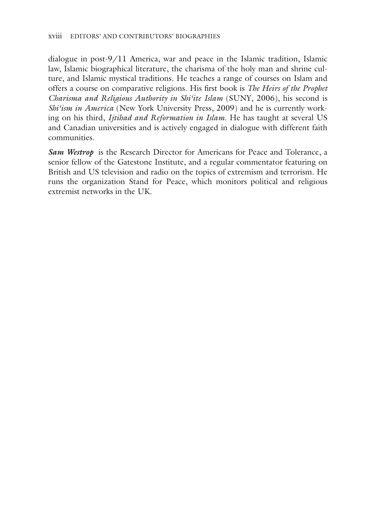dialogue in post-9/11 America, war and peace in the Islamic tradition, Islamic law, Islamic biographical literature, the charisma of the holy man and shrine culture, and Islamic mystical traditions. He teaches a range of courses on Islam and offers a course on comparative religions. His first book is *The Heirs of the Prophet Charisma and Religious Authority in Shi'ite Islam* (SUNY, 2006), his second is *Shi'ism in America* (New York University Press, 2009) and he is currently working on his third, *Ijtihad and Reformation in Islam*. He has taught at several US and Canadian universities and is actively engaged in dialogue with different faith communities.

*Sam Westrop* is the Research Director for Americans for Peace and Tolerance, a senior fellow of the Gatestone Institute, and a regular commentator featuring on British and US television and radio on the topics of extremism and terrorism. He runs the organization Stand for Peace, which monitors political and religious extremist networks in the UK.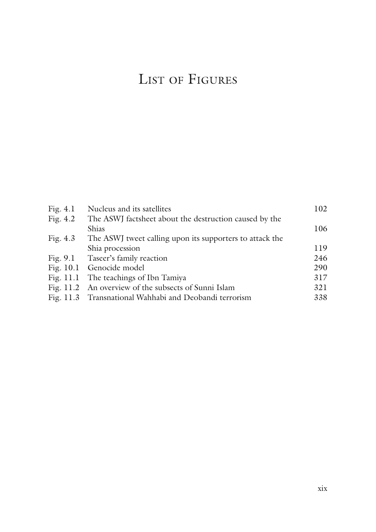# LIST OF FIGURES

| Fig. $4.1$ | Nucleus and its satellites                               | 102 |
|------------|----------------------------------------------------------|-----|
| Fig. $4.2$ | The ASWJ factsheet about the destruction caused by the   |     |
|            | Shias                                                    | 106 |
| Fig. $4.3$ | The ASWI tweet calling upon its supporters to attack the |     |
|            | Shia procession                                          | 119 |
|            | Fig. 9.1 Taseer's family reaction                        | 246 |
|            | Fig. 10.1 Genocide model                                 | 290 |
|            | Fig. 11.1 The teachings of Ibn Tamiya                    | 317 |
|            | Fig. 11.2 An overview of the subsects of Sunni Islam     | 321 |
|            | Fig. 11.3 Transnational Wahhabi and Deobandi terrorism   | 338 |